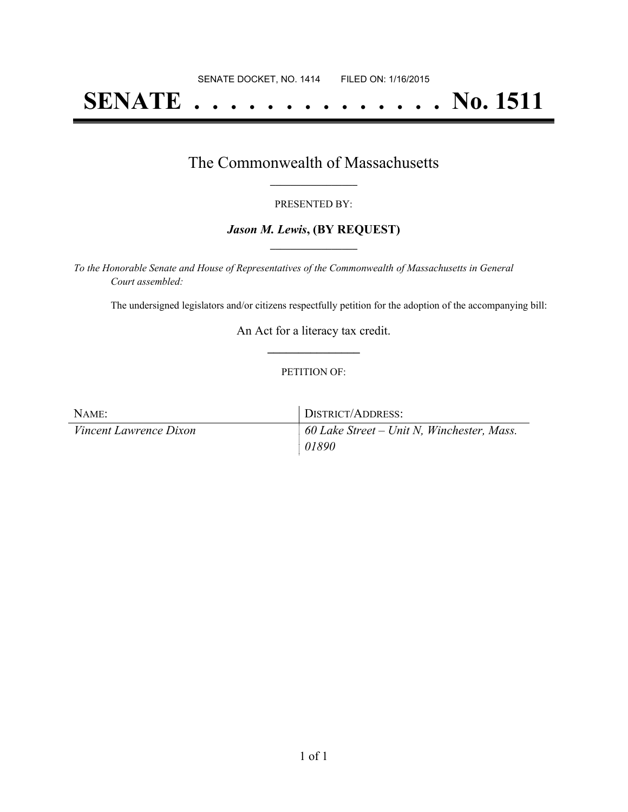# **SENATE . . . . . . . . . . . . . . No. 1511**

### The Commonwealth of Massachusetts **\_\_\_\_\_\_\_\_\_\_\_\_\_\_\_\_\_**

#### PRESENTED BY:

#### *Jason M. Lewis***, (BY REQUEST) \_\_\_\_\_\_\_\_\_\_\_\_\_\_\_\_\_**

*To the Honorable Senate and House of Representatives of the Commonwealth of Massachusetts in General Court assembled:*

The undersigned legislators and/or citizens respectfully petition for the adoption of the accompanying bill:

An Act for a literacy tax credit. **\_\_\_\_\_\_\_\_\_\_\_\_\_\_\_**

#### PETITION OF:

| NAME:                         | <sup>1</sup> DISTRICT/ADDRESS:             |
|-------------------------------|--------------------------------------------|
| <i>Vincent Lawrence Dixon</i> | 60 Lake Street – Unit N, Winchester, Mass. |
|                               | 01890                                      |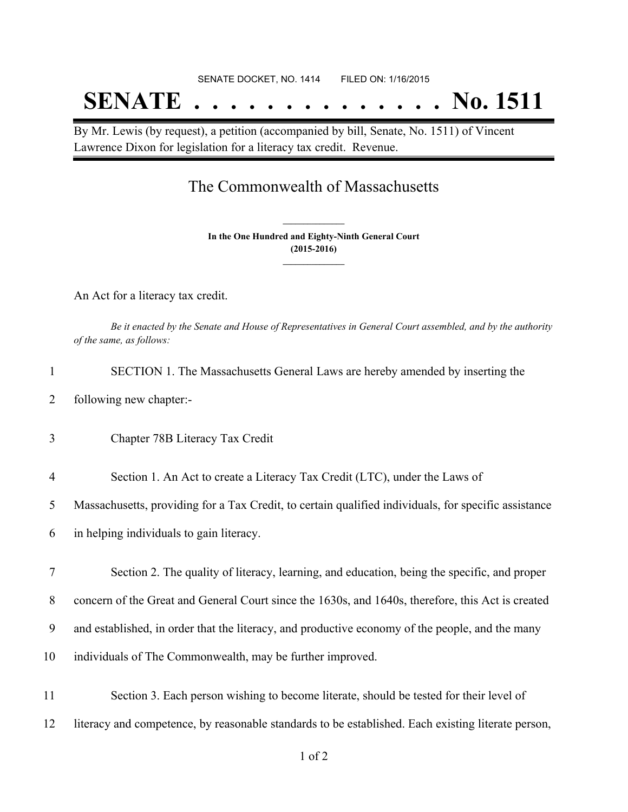## SENATE DOCKET, NO. 1414 FILED ON: 1/16/2015

# **SENATE . . . . . . . . . . . . . . No. 1511**

By Mr. Lewis (by request), a petition (accompanied by bill, Senate, No. 1511) of Vincent Lawrence Dixon for legislation for a literacy tax credit. Revenue.

### The Commonwealth of Massachusetts

**In the One Hundred and Eighty-Ninth General Court (2015-2016) \_\_\_\_\_\_\_\_\_\_\_\_\_\_\_**

**\_\_\_\_\_\_\_\_\_\_\_\_\_\_\_**

An Act for a literacy tax credit.

Be it enacted by the Senate and House of Representatives in General Court assembled, and by the authority *of the same, as follows:*

- 1 SECTION 1. The Massachusetts General Laws are hereby amended by inserting the
- 2 following new chapter:-
- 3 Chapter 78B Literacy Tax Credit
- 4 Section 1. An Act to create a Literacy Tax Credit (LTC), under the Laws of

5 Massachusetts, providing for a Tax Credit, to certain qualified individuals, for specific assistance

6 in helping individuals to gain literacy.

 Section 2. The quality of literacy, learning, and education, being the specific, and proper concern of the Great and General Court since the 1630s, and 1640s, therefore, this Act is created and established, in order that the literacy, and productive economy of the people, and the many individuals of The Commonwealth, may be further improved.

11 Section 3. Each person wishing to become literate, should be tested for their level of 12 literacy and competence, by reasonable standards to be established. Each existing literate person,